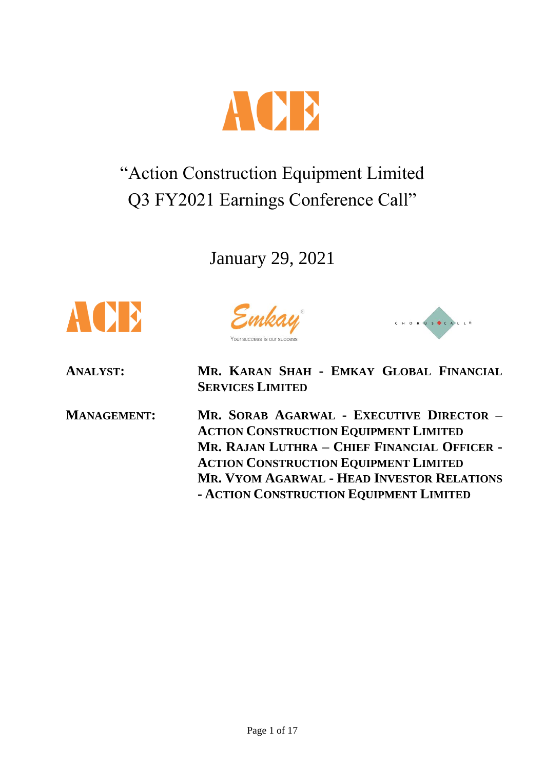

# "Action Construction Equipment Limited Q3 FY2021 Earnings Conference Call"

January 29, 2021



Emkay



**ANALYST: MR. KARAN SHAH - EMKAY GLOBAL FINANCIAL SERVICES LIMITED**

**MANAGEMENT: MR. SORAB AGARWAL - EXECUTIVE DIRECTOR – ACTION CONSTRUCTION EQUIPMENT LIMITED MR. RAJAN LUTHRA – CHIEF FINANCIAL OFFICER - ACTION CONSTRUCTION EQUIPMENT LIMITED MR. VYOM AGARWAL - HEAD INVESTOR RELATIONS - ACTION CONSTRUCTION EQUIPMENT LIMITED**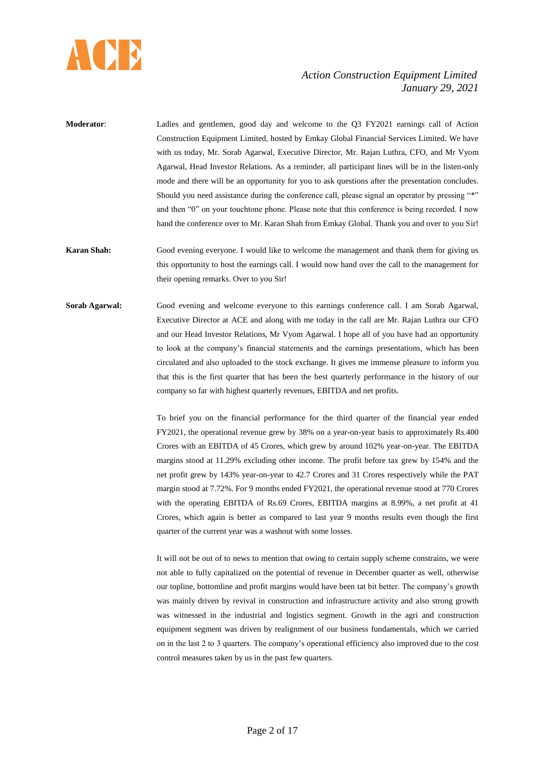

**Moderator**: Ladies and gentlemen, good day and welcome to the Q3 FY2021 earnings call of Action Construction Equipment Limited, hosted by Emkay Global Financial Services Limited. We have with us today, Mr. Sorab Agarwal, Executive Director, Mr. Rajan Luthra, CFO, and Mr Vyom Agarwal, Head Investor Relations. As a reminder, all participant lines will be in the listen-only mode and there will be an opportunity for you to ask questions after the presentation concludes. Should you need assistance during the conference call, please signal an operator by pressing "\*" and then "0" on your touchtone phone. Please note that this conference is being recorded. I now hand the conference over to Mr. Karan Shah from Emkay Global. Thank you and over to you Sir!

**Karan Shah:** Good evening everyone. I would like to welcome the management and thank them for giving us this opportunity to host the earnings call. I would now hand over the call to the management for their opening remarks. Over to you Sir!

**Sorab Agarwal:** Good evening and welcome everyone to this earnings conference call. I am Sorab Agarwal, Executive Director at ACE and along with me today in the call are Mr. Rajan Luthra our CFO and our Head Investor Relations, Mr Vyom Agarwal. I hope all of you have had an opportunity to look at the company's financial statements and the earnings presentations, which has been circulated and also uploaded to the stock exchange. It gives me immense pleasure to inform you that this is the first quarter that has been the best quarterly performance in the history of our company so far with highest quarterly revenues, EBITDA and net profits.

> To brief you on the financial performance for the third quarter of the financial year ended FY2021, the operational revenue grew by 38% on a year-on-year basis to approximately Rs.400 Crores with an EBITDA of 45 Crores, which grew by around 102% year-on-year. The EBITDA margins stood at 11.29% excluding other income. The profit before tax grew by 154% and the net profit grew by 143% year-on-year to 42.7 Crores and 31 Crores respectively while the PAT margin stood at 7.72%. For 9 months ended FY2021, the operational revenue stood at 770 Crores with the operating EBITDA of Rs.69 Crores, EBITDA margins at 8.99%, a net profit at 41 Crores, which again is better as compared to last year 9 months results even though the first quarter of the current year was a washout with some losses.

> It will not be out of to news to mention that owing to certain supply scheme constrains, we were not able to fully capitalized on the potential of revenue in December quarter as well, otherwise our topline, bottomline and profit margins would have been tat bit better. The company's growth was mainly driven by revival in construction and infrastructure activity and also strong growth was witnessed in the industrial and logistics segment. Growth in the agri and construction equipment segment was driven by realignment of our business fundamentals, which we carried on in the last 2 to 3 quarters. The company's operational efficiency also improved due to the cost control measures taken by us in the past few quarters.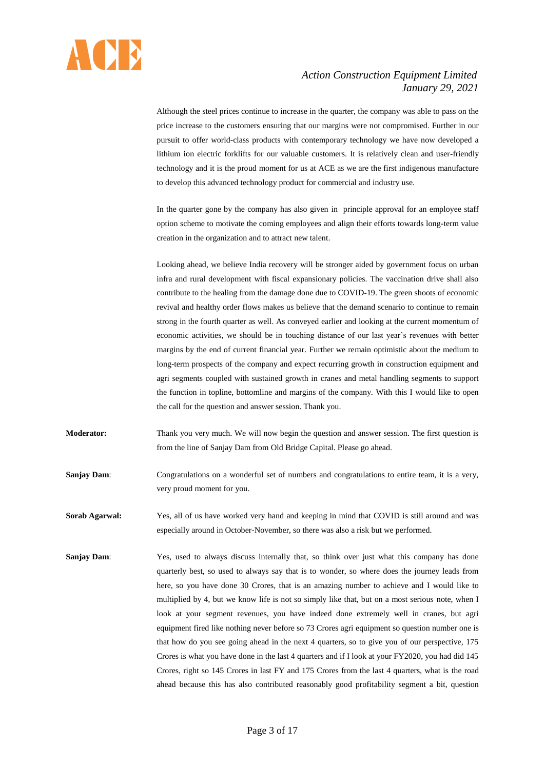

Although the steel prices continue to increase in the quarter, the company was able to pass on the price increase to the customers ensuring that our margins were not compromised. Further in our pursuit to offer world-class products with contemporary technology we have now developed a lithium ion electric forklifts for our valuable customers. It is relatively clean and user-friendly technology and it is the proud moment for us at ACE as we are the first indigenous manufacture to develop this advanced technology product for commercial and industry use.

In the quarter gone by the company has also given in principle approval for an employee staff option scheme to motivate the coming employees and align their efforts towards long-term value creation in the organization and to attract new talent.

Looking ahead, we believe India recovery will be stronger aided by government focus on urban infra and rural development with fiscal expansionary policies. The vaccination drive shall also contribute to the healing from the damage done due to COVID-19. The green shoots of economic revival and healthy order flows makes us believe that the demand scenario to continue to remain strong in the fourth quarter as well. As conveyed earlier and looking at the current momentum of economic activities, we should be in touching distance of our last year's revenues with better margins by the end of current financial year. Further we remain optimistic about the medium to long-term prospects of the company and expect recurring growth in construction equipment and agri segments coupled with sustained growth in cranes and metal handling segments to support the function in topline, bottomline and margins of the company. With this I would like to open the call for the question and answer session. Thank you.

**Moderator:** Thank you very much. We will now begin the question and answer session. The first question is from the line of Sanjay Dam from Old Bridge Capital. Please go ahead.

**Sanjay Dam:** Congratulations on a wonderful set of numbers and congratulations to entire team, it is a very, very proud moment for you.

**Sorab Agarwal:** Yes, all of us have worked very hand and keeping in mind that COVID is still around and was especially around in October-November, so there was also a risk but we performed.

**Sanjay Dam:** Yes, used to always discuss internally that, so think over just what this company has done quarterly best, so used to always say that is to wonder, so where does the journey leads from here, so you have done 30 Crores, that is an amazing number to achieve and I would like to multiplied by 4, but we know life is not so simply like that, but on a most serious note, when I look at your segment revenues, you have indeed done extremely well in cranes, but agri equipment fired like nothing never before so 73 Crores agri equipment so question number one is that how do you see going ahead in the next 4 quarters, so to give you of our perspective, 175 Crores is what you have done in the last 4 quarters and if I look at your FY2020, you had did 145 Crores, right so 145 Crores in last FY and 175 Crores from the last 4 quarters, what is the road ahead because this has also contributed reasonably good profitability segment a bit, question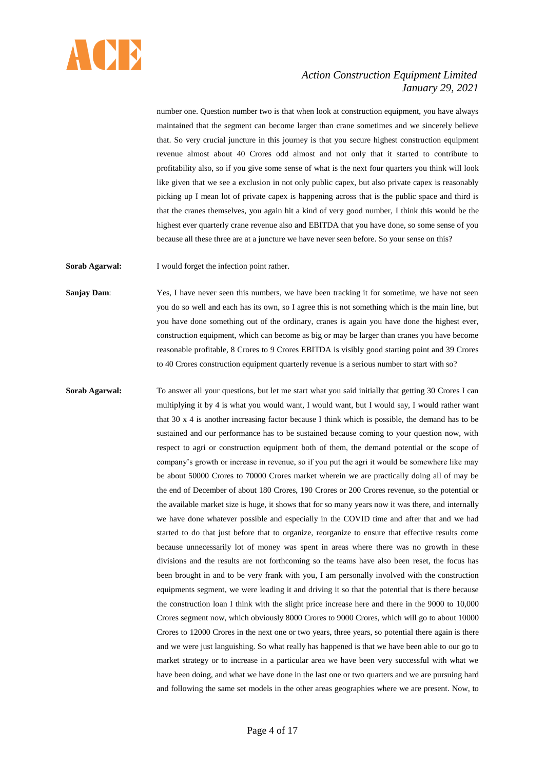

number one. Question number two is that when look at construction equipment, you have always maintained that the segment can become larger than crane sometimes and we sincerely believe that. So very crucial juncture in this journey is that you secure highest construction equipment revenue almost about 40 Crores odd almost and not only that it started to contribute to profitability also, so if you give some sense of what is the next four quarters you think will look like given that we see a exclusion in not only public capex, but also private capex is reasonably picking up I mean lot of private capex is happening across that is the public space and third is that the cranes themselves, you again hit a kind of very good number, I think this would be the highest ever quarterly crane revenue also and EBITDA that you have done, so some sense of you because all these three are at a juncture we have never seen before. So your sense on this?

**Sorab Agarwal:** I would forget the infection point rather.

Sanjay Dam: Yes, I have never seen this numbers, we have been tracking it for sometime, we have not seen you do so well and each has its own, so I agree this is not something which is the main line, but you have done something out of the ordinary, cranes is again you have done the highest ever, construction equipment, which can become as big or may be larger than cranes you have become reasonable profitable, 8 Crores to 9 Crores EBITDA is visibly good starting point and 39 Crores to 40 Crores construction equipment quarterly revenue is a serious number to start with so?

**Sorab Agarwal:** To answer all your questions, but let me start what you said initially that getting 30 Crores I can multiplying it by 4 is what you would want, I would want, but I would say, I would rather want that 30 x 4 is another increasing factor because I think which is possible, the demand has to be sustained and our performance has to be sustained because coming to your question now, with respect to agri or construction equipment both of them, the demand potential or the scope of company's growth or increase in revenue, so if you put the agri it would be somewhere like may be about 50000 Crores to 70000 Crores market wherein we are practically doing all of may be the end of December of about 180 Crores, 190 Crores or 200 Crores revenue, so the potential or the available market size is huge, it shows that for so many years now it was there, and internally we have done whatever possible and especially in the COVID time and after that and we had started to do that just before that to organize, reorganize to ensure that effective results come because unnecessarily lot of money was spent in areas where there was no growth in these divisions and the results are not forthcoming so the teams have also been reset, the focus has been brought in and to be very frank with you, I am personally involved with the construction equipments segment, we were leading it and driving it so that the potential that is there because the construction loan I think with the slight price increase here and there in the 9000 to 10,000 Crores segment now, which obviously 8000 Crores to 9000 Crores, which will go to about 10000 Crores to 12000 Crores in the next one or two years, three years, so potential there again is there and we were just languishing. So what really has happened is that we have been able to our go to market strategy or to increase in a particular area we have been very successful with what we have been doing, and what we have done in the last one or two quarters and we are pursuing hard and following the same set models in the other areas geographies where we are present. Now, to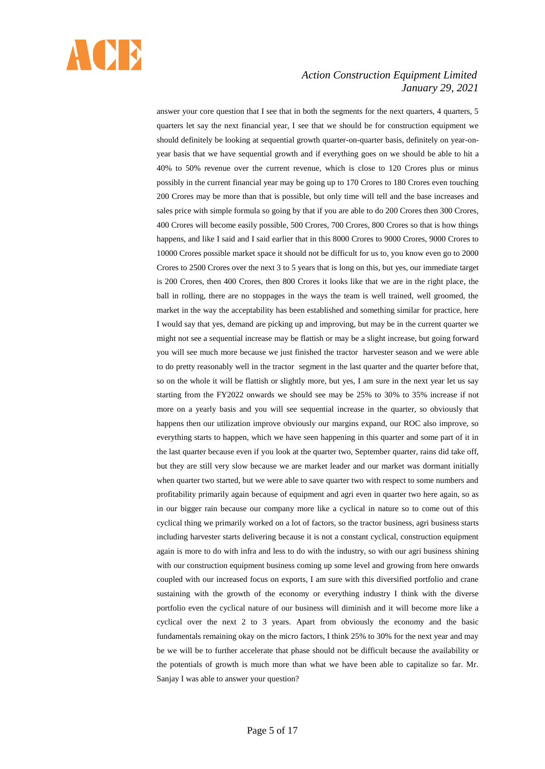

answer your core question that I see that in both the segments for the next quarters, 4 quarters, 5 quarters let say the next financial year, I see that we should be for construction equipment we should definitely be looking at sequential growth quarter-on-quarter basis, definitely on year-onyear basis that we have sequential growth and if everything goes on we should be able to hit a 40% to 50% revenue over the current revenue, which is close to 120 Crores plus or minus possibly in the current financial year may be going up to 170 Crores to 180 Crores even touching 200 Crores may be more than that is possible, but only time will tell and the base increases and sales price with simple formula so going by that if you are able to do 200 Crores then 300 Crores, 400 Crores will become easily possible, 500 Crores, 700 Crores, 800 Crores so that is how things happens, and like I said and I said earlier that in this 8000 Crores to 9000 Crores, 9000 Crores to 10000 Crores possible market space it should not be difficult for us to, you know even go to 2000 Crores to 2500 Crores over the next 3 to 5 years that is long on this, but yes, our immediate target is 200 Crores, then 400 Crores, then 800 Crores it looks like that we are in the right place, the ball in rolling, there are no stoppages in the ways the team is well trained, well groomed, the market in the way the acceptability has been established and something similar for practice, here I would say that yes, demand are picking up and improving, but may be in the current quarter we might not see a sequential increase may be flattish or may be a slight increase, but going forward you will see much more because we just finished the tractor harvester season and we were able to do pretty reasonably well in the tractor segment in the last quarter and the quarter before that, so on the whole it will be flattish or slightly more, but yes, I am sure in the next year let us say starting from the FY2022 onwards we should see may be 25% to 30% to 35% increase if not more on a yearly basis and you will see sequential increase in the quarter, so obviously that happens then our utilization improve obviously our margins expand, our ROC also improve, so everything starts to happen, which we have seen happening in this quarter and some part of it in the last quarter because even if you look at the quarter two, September quarter, rains did take off, but they are still very slow because we are market leader and our market was dormant initially when quarter two started, but we were able to save quarter two with respect to some numbers and profitability primarily again because of equipment and agri even in quarter two here again, so as in our bigger rain because our company more like a cyclical in nature so to come out of this cyclical thing we primarily worked on a lot of factors, so the tractor business, agri business starts including harvester starts delivering because it is not a constant cyclical, construction equipment again is more to do with infra and less to do with the industry, so with our agri business shining with our construction equipment business coming up some level and growing from here onwards coupled with our increased focus on exports, I am sure with this diversified portfolio and crane sustaining with the growth of the economy or everything industry I think with the diverse portfolio even the cyclical nature of our business will diminish and it will become more like a cyclical over the next 2 to 3 years. Apart from obviously the economy and the basic fundamentals remaining okay on the micro factors, I think 25% to 30% for the next year and may be we will be to further accelerate that phase should not be difficult because the availability or the potentials of growth is much more than what we have been able to capitalize so far. Mr. Sanjay I was able to answer your question?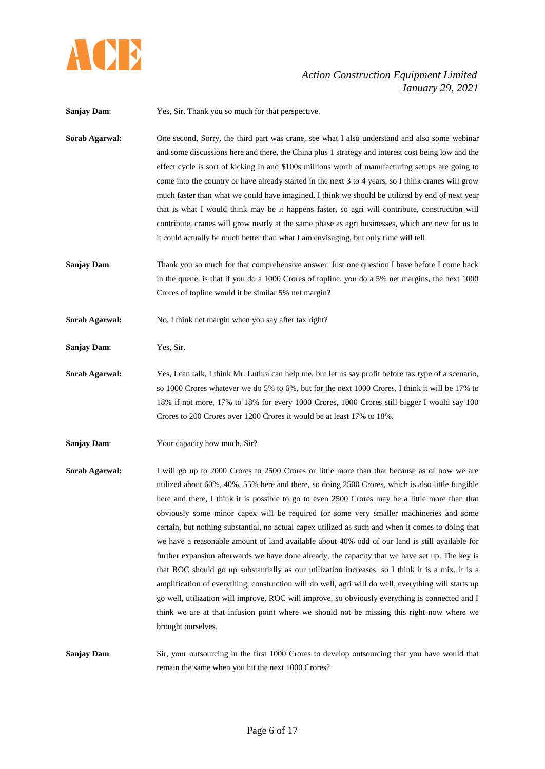

**Sanjay Dam:** Yes, Sir. Thank you so much for that perspective.

- **Sorab Agarwal:** One second, Sorry, the third part was crane, see what I also understand and also some webinar and some discussions here and there, the China plus 1 strategy and interest cost being low and the effect cycle is sort of kicking in and \$100s millions worth of manufacturing setups are going to come into the country or have already started in the next 3 to 4 years, so I think cranes will grow much faster than what we could have imagined. I think we should be utilized by end of next year that is what I would think may be it happens faster, so agri will contribute, construction will contribute, cranes will grow nearly at the same phase as agri businesses, which are new for us to it could actually be much better than what I am envisaging, but only time will tell.
- **Sanjay Dam:** Thank you so much for that comprehensive answer. Just one question I have before I come back in the queue, is that if you do a 1000 Crores of topline, you do a 5% net margins, the next 1000 Crores of topline would it be similar 5% net margin?
- **Sorab Agarwal:** No, I think net margin when you say after tax right?
- **Sanjay Dam**: Yes, Sir.
- **Sorab Agarwal:** Yes, I can talk, I think Mr. Luthra can help me, but let us say profit before tax type of a scenario, so 1000 Crores whatever we do 5% to 6%, but for the next 1000 Crores, I think it will be 17% to 18% if not more, 17% to 18% for every 1000 Crores, 1000 Crores still bigger I would say 100 Crores to 200 Crores over 1200 Crores it would be at least 17% to 18%.
- **Sanjay Dam:** Your capacity how much, Sir?
- **Sorab Agarwal:** I will go up to 2000 Crores to 2500 Crores or little more than that because as of now we are utilized about 60%, 40%, 55% here and there, so doing 2500 Crores, which is also little fungible here and there, I think it is possible to go to even 2500 Crores may be a little more than that obviously some minor capex will be required for some very smaller machineries and some certain, but nothing substantial, no actual capex utilized as such and when it comes to doing that we have a reasonable amount of land available about 40% odd of our land is still available for further expansion afterwards we have done already, the capacity that we have set up. The key is that ROC should go up substantially as our utilization increases, so I think it is a mix, it is a amplification of everything, construction will do well, agri will do well, everything will starts up go well, utilization will improve, ROC will improve, so obviously everything is connected and I think we are at that infusion point where we should not be missing this right now where we brought ourselves.

**Sanjay Dam:** Sir, your outsourcing in the first 1000 Crores to develop outsourcing that you have would that remain the same when you hit the next 1000 Crores?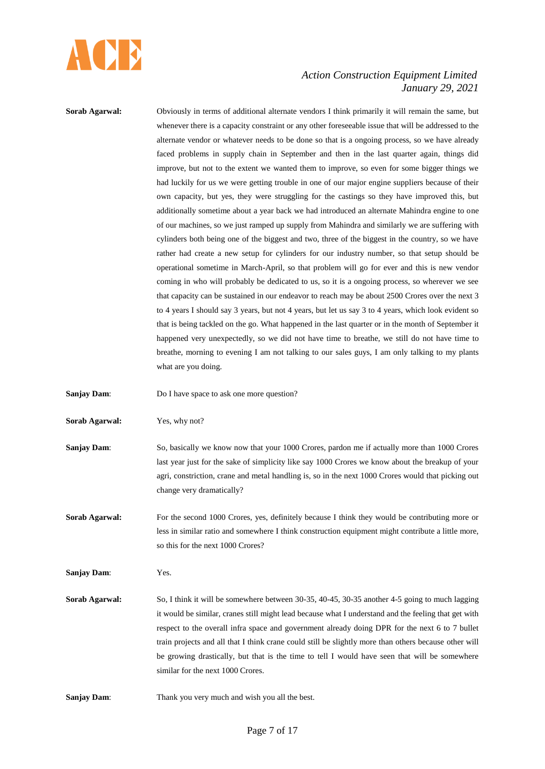

| Sorab Agarwal:        | Obviously in terms of additional alternate vendors I think primarily it will remain the same, but<br>whenever there is a capacity constraint or any other foreseeable issue that will be addressed to the<br>alternate vendor or whatever needs to be done so that is a ongoing process, so we have already<br>faced problems in supply chain in September and then in the last quarter again, things did<br>improve, but not to the extent we wanted them to improve, so even for some bigger things we<br>had luckily for us we were getting trouble in one of our major engine suppliers because of their<br>own capacity, but yes, they were struggling for the castings so they have improved this, but<br>additionally sometime about a year back we had introduced an alternate Mahindra engine to one<br>of our machines, so we just ramped up supply from Mahindra and similarly we are suffering with<br>cylinders both being one of the biggest and two, three of the biggest in the country, so we have<br>rather had create a new setup for cylinders for our industry number, so that setup should be<br>operational sometime in March-April, so that problem will go for ever and this is new vendor<br>coming in who will probably be dedicated to us, so it is a ongoing process, so wherever we see |
|-----------------------|-----------------------------------------------------------------------------------------------------------------------------------------------------------------------------------------------------------------------------------------------------------------------------------------------------------------------------------------------------------------------------------------------------------------------------------------------------------------------------------------------------------------------------------------------------------------------------------------------------------------------------------------------------------------------------------------------------------------------------------------------------------------------------------------------------------------------------------------------------------------------------------------------------------------------------------------------------------------------------------------------------------------------------------------------------------------------------------------------------------------------------------------------------------------------------------------------------------------------------------------------------------------------------------------------------------------------|
|                       | that capacity can be sustained in our endeavor to reach may be about 2500 Crores over the next 3<br>to 4 years I should say 3 years, but not 4 years, but let us say 3 to 4 years, which look evident so<br>that is being tackled on the go. What happened in the last quarter or in the month of September it<br>happened very unexpectedly, so we did not have time to breathe, we still do not have time to<br>breathe, morning to evening I am not talking to our sales guys, I am only talking to my plants<br>what are you doing.                                                                                                                                                                                                                                                                                                                                                                                                                                                                                                                                                                                                                                                                                                                                                                               |
| <b>Sanjay Dam:</b>    | Do I have space to ask one more question?                                                                                                                                                                                                                                                                                                                                                                                                                                                                                                                                                                                                                                                                                                                                                                                                                                                                                                                                                                                                                                                                                                                                                                                                                                                                             |
| Sorab Agarwal:        | Yes, why not?                                                                                                                                                                                                                                                                                                                                                                                                                                                                                                                                                                                                                                                                                                                                                                                                                                                                                                                                                                                                                                                                                                                                                                                                                                                                                                         |
| <b>Sanjay Dam:</b>    | So, basically we know now that your 1000 Crores, pardon me if actually more than 1000 Crores<br>last year just for the sake of simplicity like say 1000 Crores we know about the breakup of your<br>agri, constriction, crane and metal handling is, so in the next 1000 Crores would that picking out<br>change very dramatically?                                                                                                                                                                                                                                                                                                                                                                                                                                                                                                                                                                                                                                                                                                                                                                                                                                                                                                                                                                                   |
| Sorab Agarwal:        | For the second 1000 Crores, yes, definitely because I think they would be contributing more or<br>less in similar ratio and somewhere I think construction equipment might contribute a little more,<br>so this for the next 1000 Crores?                                                                                                                                                                                                                                                                                                                                                                                                                                                                                                                                                                                                                                                                                                                                                                                                                                                                                                                                                                                                                                                                             |
| <b>Sanjay Dam:</b>    | Yes.                                                                                                                                                                                                                                                                                                                                                                                                                                                                                                                                                                                                                                                                                                                                                                                                                                                                                                                                                                                                                                                                                                                                                                                                                                                                                                                  |
| <b>Sorab Agarwal:</b> | So, I think it will be somewhere between 30-35, 40-45, 30-35 another 4-5 going to much lagging<br>it would be similar, cranes still might lead because what I understand and the feeling that get with<br>respect to the overall infra space and government already doing DPR for the next 6 to 7 bullet<br>train projects and all that I think crane could still be slightly more than others because other will<br>be growing drastically, but that is the time to tell I would have seen that will be somewhere<br>similar for the next 1000 Crores.                                                                                                                                                                                                                                                                                                                                                                                                                                                                                                                                                                                                                                                                                                                                                               |
| <b>Sanjay Dam:</b>    | Thank you very much and wish you all the best.                                                                                                                                                                                                                                                                                                                                                                                                                                                                                                                                                                                                                                                                                                                                                                                                                                                                                                                                                                                                                                                                                                                                                                                                                                                                        |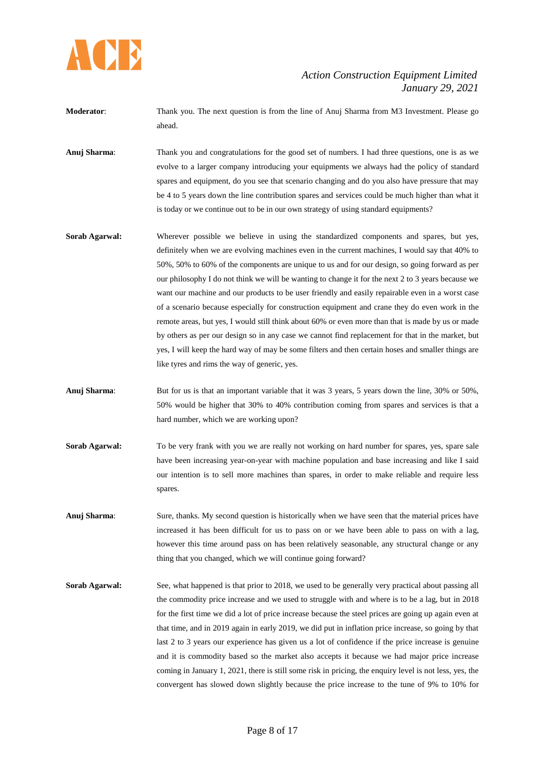

- **Moderator**: Thank you. The next question is from the line of Anuj Sharma from M3 Investment. Please go ahead.
- **Anuj Sharma**: Thank you and congratulations for the good set of numbers. I had three questions, one is as we evolve to a larger company introducing your equipments we always had the policy of standard spares and equipment, do you see that scenario changing and do you also have pressure that may be 4 to 5 years down the line contribution spares and services could be much higher than what it is today or we continue out to be in our own strategy of using standard equipments?
- **Sorab Agarwal:** Wherever possible we believe in using the standardized components and spares, but yes, definitely when we are evolving machines even in the current machines, I would say that 40% to 50%, 50% to 60% of the components are unique to us and for our design, so going forward as per our philosophy I do not think we will be wanting to change it for the next 2 to 3 years because we want our machine and our products to be user friendly and easily repairable even in a worst case of a scenario because especially for construction equipment and crane they do even work in the remote areas, but yes, I would still think about 60% or even more than that is made by us or made by others as per our design so in any case we cannot find replacement for that in the market, but yes, I will keep the hard way of may be some filters and then certain hoses and smaller things are like tyres and rims the way of generic, yes.
- **Anuj Sharma**: But for us is that an important variable that it was 3 years, 5 years down the line, 30% or 50%, 50% would be higher that 30% to 40% contribution coming from spares and services is that a hard number, which we are working upon?
- **Sorab Agarwal:** To be very frank with you we are really not working on hard number for spares, yes, spare sale have been increasing year-on-year with machine population and base increasing and like I said our intention is to sell more machines than spares, in order to make reliable and require less spares.
- Anuj Sharma: Sure, thanks. My second question is historically when we have seen that the material prices have increased it has been difficult for us to pass on or we have been able to pass on with a lag, however this time around pass on has been relatively seasonable, any structural change or any thing that you changed, which we will continue going forward?
- **Sorab Agarwal:** See, what happened is that prior to 2018, we used to be generally very practical about passing all the commodity price increase and we used to struggle with and where is to be a lag, but in 2018 for the first time we did a lot of price increase because the steel prices are going up again even at that time, and in 2019 again in early 2019, we did put in inflation price increase, so going by that last 2 to 3 years our experience has given us a lot of confidence if the price increase is genuine and it is commodity based so the market also accepts it because we had major price increase coming in January 1, 2021, there is still some risk in pricing, the enquiry level is not less, yes, the convergent has slowed down slightly because the price increase to the tune of 9% to 10% for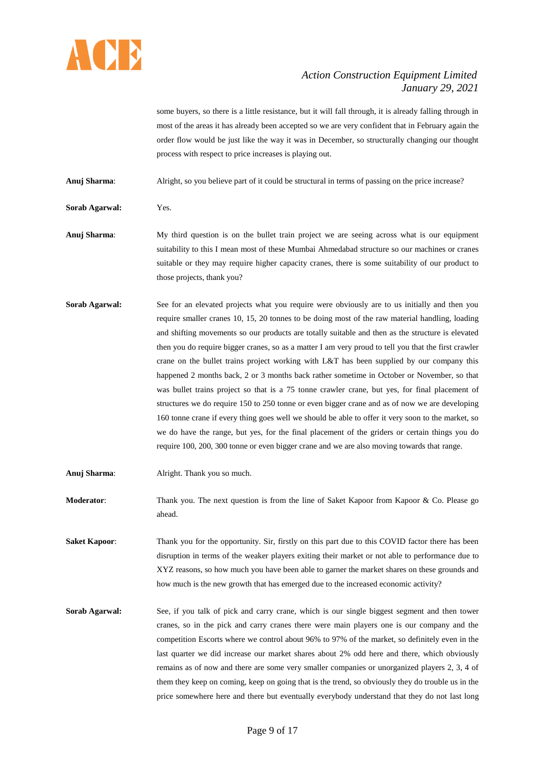

some buyers, so there is a little resistance, but it will fall through, it is already falling through in most of the areas it has already been accepted so we are very confident that in February again the order flow would be just like the way it was in December, so structurally changing our thought process with respect to price increases is playing out.

**Anuj Sharma**: Alright, so you believe part of it could be structural in terms of passing on the price increase?

**Sorab Agarwal:** Yes.

- **Anuj Sharma**: My third question is on the bullet train project we are seeing across what is our equipment suitability to this I mean most of these Mumbai Ahmedabad structure so our machines or cranes suitable or they may require higher capacity cranes, there is some suitability of our product to those projects, thank you?
- **Sorab Agarwal:** See for an elevated projects what you require were obviously are to us initially and then you require smaller cranes 10, 15, 20 tonnes to be doing most of the raw material handling, loading and shifting movements so our products are totally suitable and then as the structure is elevated then you do require bigger cranes, so as a matter I am very proud to tell you that the first crawler crane on the bullet trains project working with L&T has been supplied by our company this happened 2 months back, 2 or 3 months back rather sometime in October or November, so that was bullet trains project so that is a 75 tonne crawler crane, but yes, for final placement of structures we do require 150 to 250 tonne or even bigger crane and as of now we are developing 160 tonne crane if every thing goes well we should be able to offer it very soon to the market, so we do have the range, but yes, for the final placement of the griders or certain things you do require 100, 200, 300 tonne or even bigger crane and we are also moving towards that range.
- **Anuj Sharma**: Alright. Thank you so much.
- **Moderator:** Thank you. The next question is from the line of Saket Kapoor from Kapoor & Co. Please go ahead.
- **Saket Kapoor:** Thank you for the opportunity. Sir, firstly on this part due to this COVID factor there has been disruption in terms of the weaker players exiting their market or not able to performance due to XYZ reasons, so how much you have been able to garner the market shares on these grounds and how much is the new growth that has emerged due to the increased economic activity?
- **Sorab Agarwal:** See, if you talk of pick and carry crane, which is our single biggest segment and then tower cranes, so in the pick and carry cranes there were main players one is our company and the competition Escorts where we control about 96% to 97% of the market, so definitely even in the last quarter we did increase our market shares about 2% odd here and there, which obviously remains as of now and there are some very smaller companies or unorganized players 2, 3, 4 of them they keep on coming, keep on going that is the trend, so obviously they do trouble us in the price somewhere here and there but eventually everybody understand that they do not last long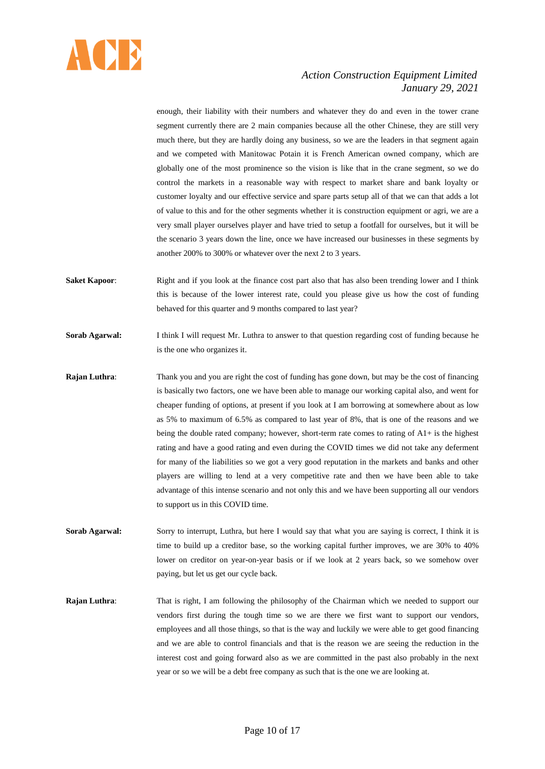

enough, their liability with their numbers and whatever they do and even in the tower crane segment currently there are 2 main companies because all the other Chinese, they are still very much there, but they are hardly doing any business, so we are the leaders in that segment again and we competed with Manitowac Potain it is French American owned company, which are globally one of the most prominence so the vision is like that in the crane segment, so we do control the markets in a reasonable way with respect to market share and bank loyalty or customer loyalty and our effective service and spare parts setup all of that we can that adds a lot of value to this and for the other segments whether it is construction equipment or agri, we are a very small player ourselves player and have tried to setup a footfall for ourselves, but it will be the scenario 3 years down the line, once we have increased our businesses in these segments by another 200% to 300% or whatever over the next 2 to 3 years.

- **Saket Kapoor:** Right and if you look at the finance cost part also that has also been trending lower and I think this is because of the lower interest rate, could you please give us how the cost of funding behaved for this quarter and 9 months compared to last year?
- **Sorab Agarwal:** I think I will request Mr. Luthra to answer to that question regarding cost of funding because he is the one who organizes it.
- **Rajan Luthra:** Thank you and you are right the cost of funding has gone down, but may be the cost of financing is basically two factors, one we have been able to manage our working capital also, and went for cheaper funding of options, at present if you look at I am borrowing at somewhere about as low as 5% to maximum of 6.5% as compared to last year of 8%, that is one of the reasons and we being the double rated company; however, short-term rate comes to rating of A1+ is the highest rating and have a good rating and even during the COVID times we did not take any deferment for many of the liabilities so we got a very good reputation in the markets and banks and other players are willing to lend at a very competitive rate and then we have been able to take advantage of this intense scenario and not only this and we have been supporting all our vendors to support us in this COVID time.
- **Sorab Agarwal:** Sorry to interrupt, Luthra, but here I would say that what you are saying is correct, I think it is time to build up a creditor base, so the working capital further improves, we are 30% to 40% lower on creditor on year-on-year basis or if we look at 2 years back, so we somehow over paying, but let us get our cycle back.
- **Rajan Luthra:** That is right, I am following the philosophy of the Chairman which we needed to support our vendors first during the tough time so we are there we first want to support our vendors, employees and all those things, so that is the way and luckily we were able to get good financing and we are able to control financials and that is the reason we are seeing the reduction in the interest cost and going forward also as we are committed in the past also probably in the next year or so we will be a debt free company as such that is the one we are looking at.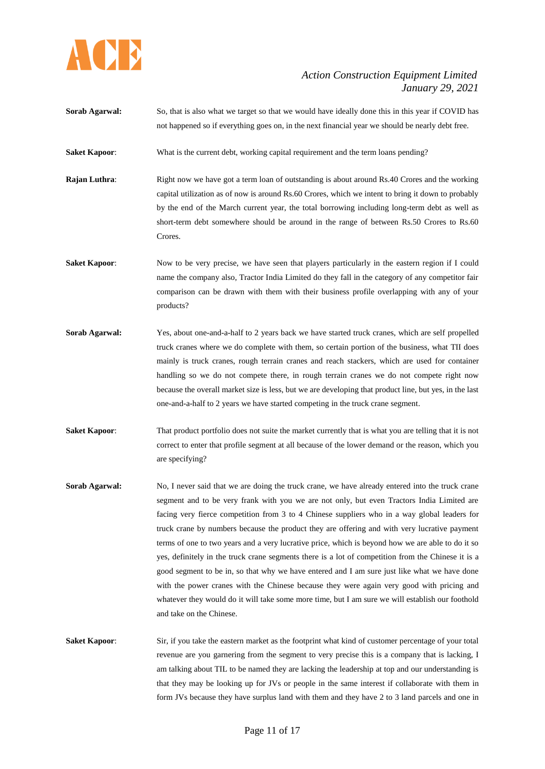

- **Sorab Agarwal:** So, that is also what we target so that we would have ideally done this in this year if COVID has not happened so if everything goes on, in the next financial year we should be nearly debt free.
- **Saket Kapoor:** What is the current debt, working capital requirement and the term loans pending?
- **Rajan Luthra:** Right now we have got a term loan of outstanding is about around Rs.40 Crores and the working capital utilization as of now is around Rs.60 Crores, which we intent to bring it down to probably by the end of the March current year, the total borrowing including long-term debt as well as short-term debt somewhere should be around in the range of between Rs.50 Crores to Rs.60 Crores.
- **Saket Kapoor:** Now to be very precise, we have seen that players particularly in the eastern region if I could name the company also, Tractor India Limited do they fall in the category of any competitor fair comparison can be drawn with them with their business profile overlapping with any of your products?
- **Sorab Agarwal:** Yes, about one-and-a-half to 2 years back we have started truck cranes, which are self propelled truck cranes where we do complete with them, so certain portion of the business, what TII does mainly is truck cranes, rough terrain cranes and reach stackers, which are used for container handling so we do not compete there, in rough terrain cranes we do not compete right now because the overall market size is less, but we are developing that product line, but yes, in the last one-and-a-half to 2 years we have started competing in the truck crane segment.
- **Saket Kapoor:** That product portfolio does not suite the market currently that is what you are telling that it is not correct to enter that profile segment at all because of the lower demand or the reason, which you are specifying?
- **Sorab Agarwal:** No, I never said that we are doing the truck crane, we have already entered into the truck crane segment and to be very frank with you we are not only, but even Tractors India Limited are facing very fierce competition from 3 to 4 Chinese suppliers who in a way global leaders for truck crane by numbers because the product they are offering and with very lucrative payment terms of one to two years and a very lucrative price, which is beyond how we are able to do it so yes, definitely in the truck crane segments there is a lot of competition from the Chinese it is a good segment to be in, so that why we have entered and I am sure just like what we have done with the power cranes with the Chinese because they were again very good with pricing and whatever they would do it will take some more time, but I am sure we will establish our foothold and take on the Chinese.
- **Saket Kapoor:** Sir, if you take the eastern market as the footprint what kind of customer percentage of your total revenue are you garnering from the segment to very precise this is a company that is lacking, I am talking about TIL to be named they are lacking the leadership at top and our understanding is that they may be looking up for JVs or people in the same interest if collaborate with them in form JVs because they have surplus land with them and they have 2 to 3 land parcels and one in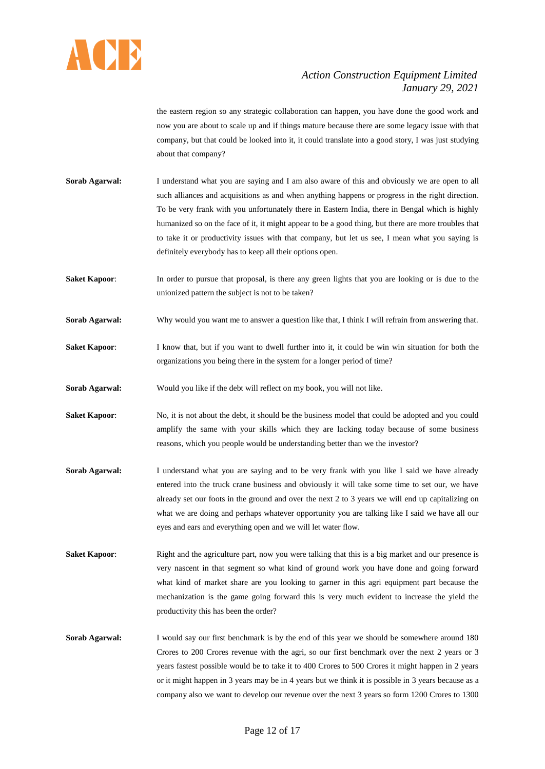

the eastern region so any strategic collaboration can happen, you have done the good work and now you are about to scale up and if things mature because there are some legacy issue with that company, but that could be looked into it, it could translate into a good story, I was just studying about that company?

**Sorab Agarwal:** I understand what you are saying and I am also aware of this and obviously we are open to all such alliances and acquisitions as and when anything happens or progress in the right direction. To be very frank with you unfortunately there in Eastern India, there in Bengal which is highly humanized so on the face of it, it might appear to be a good thing, but there are more troubles that to take it or productivity issues with that company, but let us see, I mean what you saying is definitely everybody has to keep all their options open.

**Saket Kapoor:** In order to pursue that proposal, is there any green lights that you are looking or is due to the unionized pattern the subject is not to be taken?

- **Sorab Agarwal:** Why would you want me to answer a question like that, I think I will refrain from answering that.
- **Saket Kapoor:** I know that, but if you want to dwell further into it, it could be win win situation for both the organizations you being there in the system for a longer period of time?

**Sorab Agarwal:** Would you like if the debt will reflect on my book, you will not like.

- **Saket Kapoor:** No, it is not about the debt, it should be the business model that could be adopted and you could amplify the same with your skills which they are lacking today because of some business reasons, which you people would be understanding better than we the investor?
- **Sorab Agarwal:** I understand what you are saying and to be very frank with you like I said we have already entered into the truck crane business and obviously it will take some time to set our, we have already set our foots in the ground and over the next 2 to 3 years we will end up capitalizing on what we are doing and perhaps whatever opportunity you are talking like I said we have all our eyes and ears and everything open and we will let water flow.
- **Saket Kapoor:** Right and the agriculture part, now you were talking that this is a big market and our presence is very nascent in that segment so what kind of ground work you have done and going forward what kind of market share are you looking to garner in this agri equipment part because the mechanization is the game going forward this is very much evident to increase the yield the productivity this has been the order?
- **Sorab Agarwal:** I would say our first benchmark is by the end of this year we should be somewhere around 180 Crores to 200 Crores revenue with the agri, so our first benchmark over the next 2 years or 3 years fastest possible would be to take it to 400 Crores to 500 Crores it might happen in 2 years or it might happen in 3 years may be in 4 years but we think it is possible in 3 years because as a company also we want to develop our revenue over the next 3 years so form 1200 Crores to 1300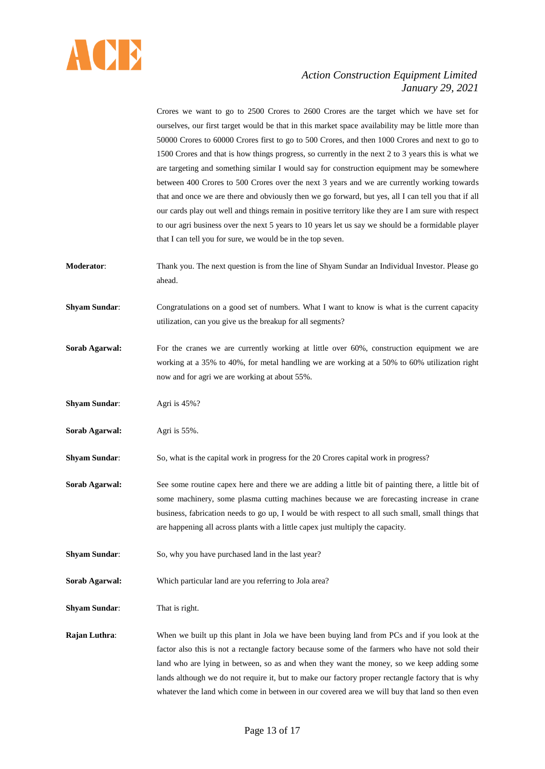

Crores we want to go to 2500 Crores to 2600 Crores are the target which we have set for ourselves, our first target would be that in this market space availability may be little more than 50000 Crores to 60000 Crores first to go to 500 Crores, and then 1000 Crores and next to go to 1500 Crores and that is how things progress, so currently in the next 2 to 3 years this is what we are targeting and something similar I would say for construction equipment may be somewhere between 400 Crores to 500 Crores over the next 3 years and we are currently working towards that and once we are there and obviously then we go forward, but yes, all I can tell you that if all our cards play out well and things remain in positive territory like they are I am sure with respect to our agri business over the next 5 years to 10 years let us say we should be a formidable player that I can tell you for sure, we would be in the top seven.

- **Moderator**: Thank you. The next question is from the line of Shyam Sundar an Individual Investor. Please go ahead.
- **Shyam Sundar:** Congratulations on a good set of numbers. What I want to know is what is the current capacity utilization, can you give us the breakup for all segments?
- **Sorab Agarwal:** For the cranes we are currently working at little over 60%, construction equipment we are working at a 35% to 40%, for metal handling we are working at a 50% to 60% utilization right now and for agri we are working at about 55%.
- **Shyam Sundar:** Agri is 45%?
- **Sorab Agarwal:** Agri is 55%.
- **Shyam Sundar:** So, what is the capital work in progress for the 20 Crores capital work in progress?
- **Sorab Agarwal:** See some routine capex here and there we are adding a little bit of painting there, a little bit of some machinery, some plasma cutting machines because we are forecasting increase in crane business, fabrication needs to go up, I would be with respect to all such small, small things that are happening all across plants with a little capex just multiply the capacity.
- **Shyam Sundar:** So, why you have purchased land in the last year?
- **Sorab Agarwal:** Which particular land are you referring to Jola area?
- **Shyam Sundar:** That is right.

**Rajan Luthra:** When we built up this plant in Jola we have been buying land from PCs and if you look at the factor also this is not a rectangle factory because some of the farmers who have not sold their land who are lying in between, so as and when they want the money, so we keep adding some lands although we do not require it, but to make our factory proper rectangle factory that is why whatever the land which come in between in our covered area we will buy that land so then even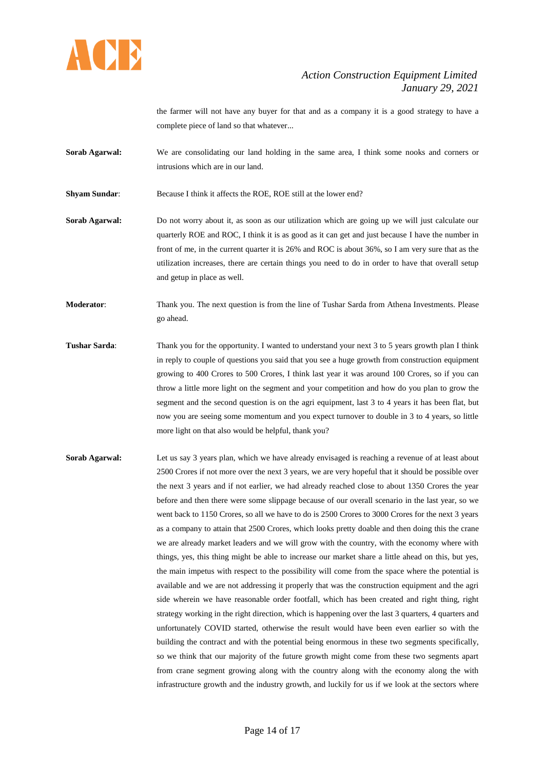

the farmer will not have any buyer for that and as a company it is a good strategy to have a complete piece of land so that whatever...

- **Sorab Agarwal:** We are consolidating our land holding in the same area, I think some nooks and corners or intrusions which are in our land.
- **Shyam Sundar:** Because I think it affects the ROE, ROE still at the lower end?

**Sorab Agarwal:** Do not worry about it, as soon as our utilization which are going up we will just calculate our quarterly ROE and ROC, I think it is as good as it can get and just because I have the number in front of me, in the current quarter it is 26% and ROC is about 36%, so I am very sure that as the utilization increases, there are certain things you need to do in order to have that overall setup and getup in place as well.

**Moderator**: Thank you. The next question is from the line of Tushar Sarda from Athena Investments. Please go ahead.

- **Tushar Sarda:** Thank you for the opportunity. I wanted to understand your next 3 to 5 years growth plan I think in reply to couple of questions you said that you see a huge growth from construction equipment growing to 400 Crores to 500 Crores, I think last year it was around 100 Crores, so if you can throw a little more light on the segment and your competition and how do you plan to grow the segment and the second question is on the agri equipment, last 3 to 4 years it has been flat, but now you are seeing some momentum and you expect turnover to double in 3 to 4 years, so little more light on that also would be helpful, thank you?
- **Sorab Agarwal:** Let us say 3 years plan, which we have already envisaged is reaching a revenue of at least about 2500 Crores if not more over the next 3 years, we are very hopeful that it should be possible over the next 3 years and if not earlier, we had already reached close to about 1350 Crores the year before and then there were some slippage because of our overall scenario in the last year, so we went back to 1150 Crores, so all we have to do is 2500 Crores to 3000 Crores for the next 3 years as a company to attain that 2500 Crores, which looks pretty doable and then doing this the crane we are already market leaders and we will grow with the country, with the economy where with things, yes, this thing might be able to increase our market share a little ahead on this, but yes, the main impetus with respect to the possibility will come from the space where the potential is available and we are not addressing it properly that was the construction equipment and the agri side wherein we have reasonable order footfall, which has been created and right thing, right strategy working in the right direction, which is happening over the last 3 quarters, 4 quarters and unfortunately COVID started, otherwise the result would have been even earlier so with the building the contract and with the potential being enormous in these two segments specifically, so we think that our majority of the future growth might come from these two segments apart from crane segment growing along with the country along with the economy along the with infrastructure growth and the industry growth, and luckily for us if we look at the sectors where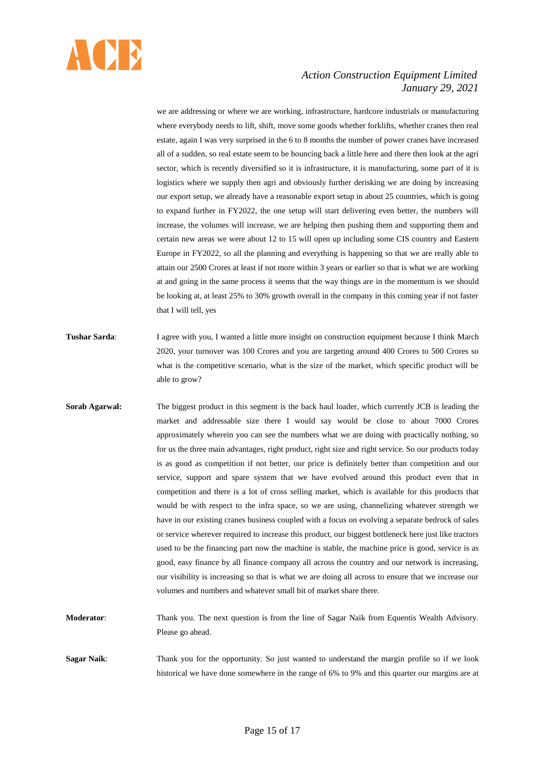

we are addressing or where we are working, infrastructure, hardcore industrials or manufacturing where everybody needs to lift, shift, move some goods whether forklifts, whether cranes then real estate, again I was very surprised in the 6 to 8 months the number of power cranes have increased all of a sudden, so real estate seem to be bouncing back a little here and there then look at the agri sector, which is recently diversified so it is infrastructure, it is manufacturing, some part of it is logistics where we supply then agri and obviously further derisking we are doing by increasing our export setup, we already have a reasonable export setup in about 25 countries, which is going to expand further in FY2022, the one setup will start delivering even better, the numbers will increase, the volumes will increase, we are helping then pushing them and supporting them and certain new areas we were about 12 to 15 will open up including some CIS country and Eastern Europe in FY2022, so all the planning and everything is happening so that we are really able to attain our 2500 Crores at least if not more within 3 years or earlier so that is what we are working at and going in the same process it seems that the way things are in the momentum is we should be looking at, at least 25% to 30% growth overall in the company in this coming year if not faster that I will tell, yes

- **Tushar Sarda:** I agree with you, I wanted a little more insight on construction equipment because I think March 2020, your turnover was 100 Crores and you are targeting around 400 Crores to 500 Crores so what is the competitive scenario, what is the size of the market, which specific product will be able to grow?
- **Sorab Agarwal:** The biggest product in this segment is the back haul loader, which currently JCB is leading the market and addressable size there I would say would be close to about 7000 Crores approximately wherein you can see the numbers what we are doing with practically nothing, so for us the three main advantages, right product, right size and right service. So our products today is as good as competition if not better, our price is definitely better than competition and our service, support and spare system that we have evolved around this product even that in competition and there is a lot of cross selling market, which is available for this products that would be with respect to the infra space, so we are using, channelizing whatever strength we have in our existing cranes business coupled with a focus on evolving a separate bedrock of sales or service wherever required to increase this product, our biggest bottleneck here just like tractors used to be the financing part now the machine is stable, the machine price is good, service is as good, easy finance by all finance company all across the country and our network is increasing, our visibility is increasing so that is what we are doing all across to ensure that we increase our volumes and numbers and whatever small bit of market share there.

**Moderator**: Thank you. The next question is from the line of Sagar Naik from Equentis Wealth Advisory. Please go ahead.

**Sagar Naik:** Thank you for the opportunity. So just wanted to understand the margin profile so if we look historical we have done somewhere in the range of 6% to 9% and this quarter our margins are at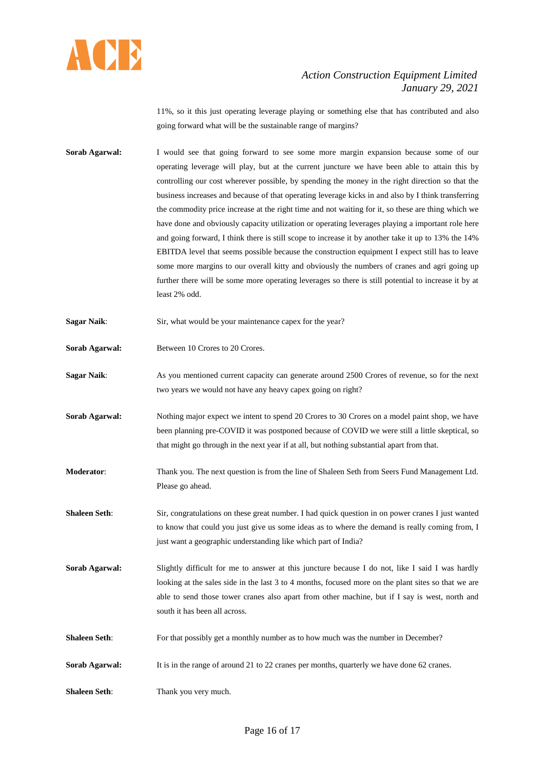

11%, so it this just operating leverage playing or something else that has contributed and also going forward what will be the sustainable range of margins?

- **Sorab Agarwal:** I would see that going forward to see some more margin expansion because some of our operating leverage will play, but at the current juncture we have been able to attain this by controlling our cost wherever possible, by spending the money in the right direction so that the business increases and because of that operating leverage kicks in and also by I think transferring the commodity price increase at the right time and not waiting for it, so these are thing which we have done and obviously capacity utilization or operating leverages playing a important role here and going forward, I think there is still scope to increase it by another take it up to 13% the 14% EBITDA level that seems possible because the construction equipment I expect still has to leave some more margins to our overall kitty and obviously the numbers of cranes and agri going up further there will be some more operating leverages so there is still potential to increase it by at least 2% odd.
- **Sagar Naik:** Sir, what would be your maintenance capex for the year?
- **Sorab Agarwal:** Between 10 Crores to 20 Crores.
- **Sagar Naik:** As you mentioned current capacity can generate around 2500 Crores of revenue, so for the next two years we would not have any heavy capex going on right?
- **Sorab Agarwal:** Nothing major expect we intent to spend 20 Crores to 30 Crores on a model paint shop, we have been planning pre-COVID it was postponed because of COVID we were still a little skeptical, so that might go through in the next year if at all, but nothing substantial apart from that.
- **Moderator**: Thank you. The next question is from the line of Shaleen Seth from Seers Fund Management Ltd. Please go ahead.
- **Shaleen Seth**: Sir, congratulations on these great number. I had quick question in on power cranes I just wanted to know that could you just give us some ideas as to where the demand is really coming from, I just want a geographic understanding like which part of India?
- **Sorab Agarwal:** Slightly difficult for me to answer at this juncture because I do not, like I said I was hardly looking at the sales side in the last 3 to 4 months, focused more on the plant sites so that we are able to send those tower cranes also apart from other machine, but if I say is west, north and south it has been all across.
- **Shaleen Seth**: For that possibly get a monthly number as to how much was the number in December?
- **Sorab Agarwal:** It is in the range of around 21 to 22 cranes per months, quarterly we have done 62 cranes.
- **Shaleen Seth:** Thank you very much.